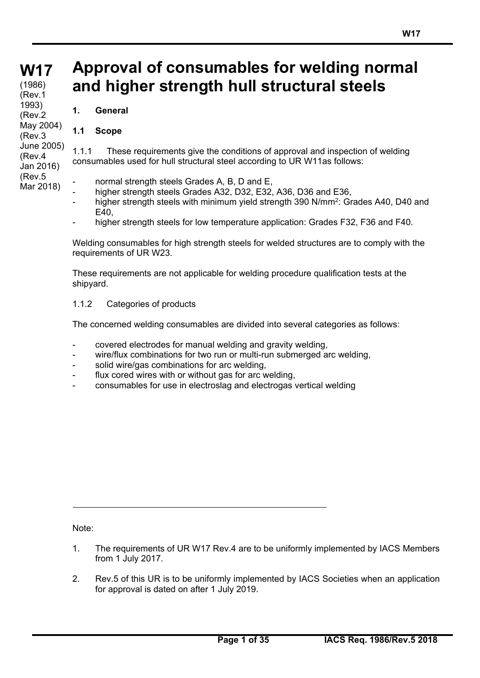# **W17 W17**

**(cont)** (1986) (Rev.1 1993) (Rev.2 May 2004) (Rev.3 June 2005) (Rev.4 Jan 2016) (Rev.5 Mar 2018)

**1. General** 

**1.1 Scope** 

# **Approval of consumables for welding normal and higher strength hull structural steels**

consumables used for hull structural steel according to UR W11as follows:

- normal strength steels Grades A, B, D and E,
- higher strength steels Grades A32, D32, E32, A36, D36 and E36,
- higher strength steels with minimum yield strength 390 N/mm<sup>2</sup>: Grades A40, D40 and E40,
- higher strength steels for low temperature application: Grades F32, F36 and F40.

1.1.1 These requirements give the conditions of approval and inspection of welding

Welding consumables for high strength steels for welded structures are to comply with the requirements of UR W23.

These requirements are not applicable for welding procedure qualification tests at the shipyard.

#### 1.1.2 Categories of products

The concerned welding consumables are divided into several categories as follows:

- covered electrodes for manual welding and gravity welding,
- wire/flux combinations for two run or multi-run submerged arc welding,
- solid wire/gas combinations for arc welding,
- flux cored wires with or without gas for arc welding,
- consumables for use in electroslag and electrogas vertical welding

Note:

 $\overline{a}$ 

- 1. The requirements of UR W17 Rev.4 are to be uniformly implemented by IACS Members from 1 July 2017.
- 2. Rev.5 of this UR is to be uniformly implemented by IACS Societies when an application for approval is dated on after 1 July 2019.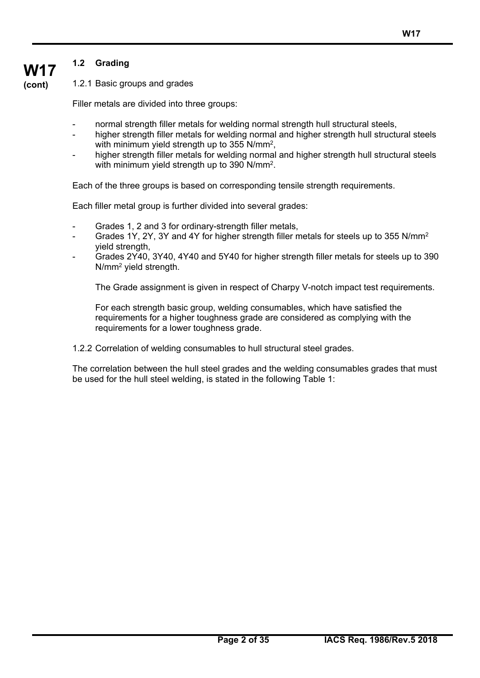## **1.2 Grading**

**W17** 

 $\overline{a}$ 

**(cont)** 1.2.1 Basic groups and grades

Filler metals are divided into three groups:

- normal strength filler metals for welding normal strength hull structural steels,
- higher strength filler metals for welding normal and higher strength hull structural steels with minimum yield strength up to 355 N/mm<sup>2</sup>,
- higher strength filler metals for welding normal and higher strength hull structural steels with minimum vield strength up to 390 N/mm<sup>2</sup>.

Each of the three groups is based on corresponding tensile strength requirements.

Each filler metal group is further divided into several grades:

- Grades 1, 2 and 3 for ordinary-strength filler metals,
- Grades 1Y, 2Y, 3Y and 4Y for higher strength filler metals for steels up to 355 N/mm<sup>2</sup> yield strength,
- Grades 2Y40, 3Y40, 4Y40 and 5Y40 for higher strength filler metals for steels up to 390 N/mm2 yield strength.

The Grade assignment is given in respect of Charpy V-notch impact test requirements.

For each strength basic group, welding consumables, which have satisfied the requirements for a higher toughness grade are considered as complying with the requirements for a lower toughness grade.

1.2.2 Correlation of welding consumables to hull structural steel grades.

The correlation between the hull steel grades and the welding consumables grades that must be used for the hull steel welding, is stated in the following Table 1: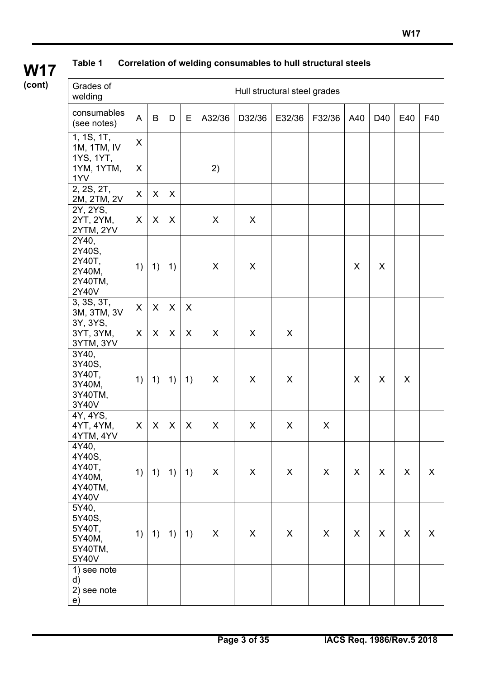## **Table 1 Correlation of welding consumables to hull structural steels**

| Grades of<br>welding                                    |    | Hull structural steel grades |    |    |             |        |        |              |     |     |     |     |
|---------------------------------------------------------|----|------------------------------|----|----|-------------|--------|--------|--------------|-----|-----|-----|-----|
| consumables<br>(see notes)                              | A  | B                            | D  | E  | A32/36      | D32/36 | E32/36 | F32/36       | A40 | D40 | E40 | F40 |
| 1, 1S, 1T,<br>1M, 1TM, IV                               | X  |                              |    |    |             |        |        |              |     |     |     |     |
| 1YS, 1YT,<br>1YM, 1YTM,<br>1YV                          | X  |                              |    |    | 2)          |        |        |              |     |     |     |     |
| 2, 2S, 2T,<br>2M, 2TM, 2V                               | X  | X                            | X  |    |             |        |        |              |     |     |     |     |
| 2Y, 2YS,<br>2YT, 2YM,<br>2YTM, 2YV                      | X  | X                            | X  |    | X           | X      |        |              |     |     |     |     |
| 2Y40,<br>2Y40S,<br>2Y40T,<br>2Y40M,<br>2Y40TM,<br>2Y40V | 1) | 1)                           | 1) |    | X           | X      |        |              | X   | X   |     |     |
| 3, 3S, 3T,<br>3M, 3TM, 3V                               | X  | X                            | X  | X  |             |        |        |              |     |     |     |     |
| 3Y, 3YS,<br>3YT, 3YM,<br>3YTM, 3YV                      | X  | X                            | X  | X  | X           | X      | X      |              |     |     |     |     |
| 3Y40,<br>3Y40S,<br>3Y40T,<br>3Y40M,<br>3Y40TM,<br>3Y40V | 1) | 1)                           | 1) | 1) | X           | X      | X      |              | X   | X   | X   |     |
| 4Y, 4YS,<br>4YT, 4YM,<br>4YTM, 4YV                      | X  | X                            | X  | X  | X           | X      | X      | X            |     |     |     |     |
| 4Y40,<br>4Y40S,<br>4Y40T,<br>4Y40M,<br>4Y40TM,<br>4Y40V | 1) | 1)                           | 1) | 1) | $\mathsf X$ | X      | X      | $\mathsf{X}$ | X   | X   | X   | X   |
| 5Y40,<br>5Y40S,<br>5Y40T,<br>5Y40M,<br>5Y40TM,<br>5Y40V | 1) | 1)                           | 1) | 1) | X           | X      | X      | X            | X   | X   | X   | X   |
| 1) see note<br>d)<br>2) see note<br>e)                  |    |                              |    |    |             |        |        |              |     |     |     |     |

 $\overline{a}$ 

**W17 (cont)**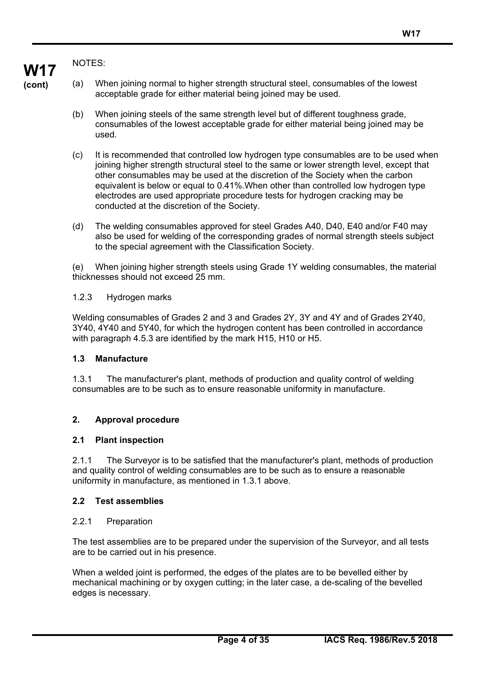NOTES:

**W17 (cont)**

- (a) When joining normal to higher strength structural steel, consumables of the lowest acceptable grade for either material being joined may be used.
	- (b) When joining steels of the same strength level but of different toughness grade, consumables of the lowest acceptable grade for either material being joined may be used.
	- (c) It is recommended that controlled low hydrogen type consumables are to be used when joining higher strength structural steel to the same or lower strength level, except that other consumables may be used at the discretion of the Society when the carbon equivalent is below or equal to 0.41%.When other than controlled low hydrogen type electrodes are used appropriate procedure tests for hydrogen cracking may be conducted at the discretion of the Society.
	- (d) The welding consumables approved for steel Grades A40, D40, E40 and/or F40 may also be used for welding of the corresponding grades of normal strength steels subject to the special agreement with the Classification Society.

(e) When joining higher strength steels using Grade 1Y welding consumables, the material thicknesses should not exceed 25 mm.

#### 1.2.3 Hydrogen marks

Welding consumables of Grades 2 and 3 and Grades 2Y, 3Y and 4Y and of Grades 2Y40, 3Y40, 4Y40 and 5Y40, for which the hydrogen content has been controlled in accordance with paragraph 4.5.3 are identified by the mark H15, H10 or H5.

#### **1.3 Manufacture**

1.3.1 The manufacturer's plant, methods of production and quality control of welding consumables are to be such as to ensure reasonable uniformity in manufacture.

#### **2. Approval procedure**

#### **2.1 Plant inspection**

2.1.1 The Surveyor is to be satisfied that the manufacturer's plant, methods of production and quality control of welding consumables are to be such as to ensure a reasonable uniformity in manufacture, as mentioned in 1.3.1 above.

#### **2.2 Test assemblies**

#### 2.2.1 Preparation

 $\overline{a}$ 

The test assemblies are to be prepared under the supervision of the Surveyor, and all tests are to be carried out in his presence.

When a welded joint is performed, the edges of the plates are to be bevelled either by mechanical machining or by oxygen cutting; in the later case, a de-scaling of the bevelled edges is necessary.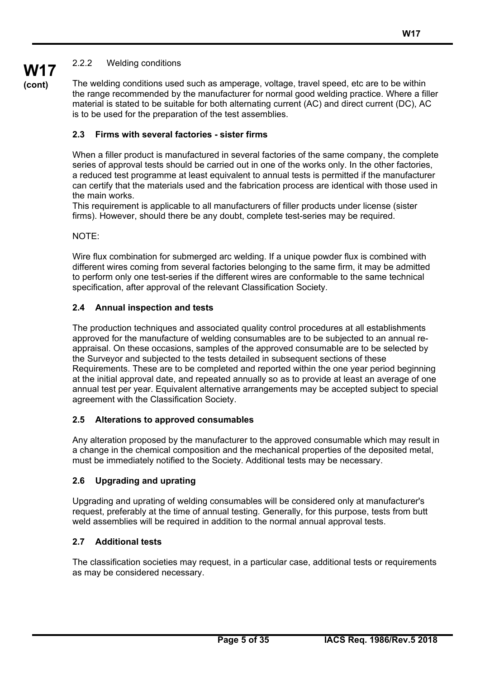## 2.2.2 Welding conditions

**W17 (cont)**

The welding conditions used such as amperage, voltage, travel speed, etc are to be within the range recommended by the manufacturer for normal good welding practice. Where a filler material is stated to be suitable for both alternating current (AC) and direct current (DC), AC is to be used for the preparation of the test assemblies.

## **2.3 Firms with several factories - sister firms**

When a filler product is manufactured in several factories of the same company, the complete series of approval tests should be carried out in one of the works only. In the other factories, a reduced test programme at least equivalent to annual tests is permitted if the manufacturer can certify that the materials used and the fabrication process are identical with those used in the main works.

This requirement is applicable to all manufacturers of filler products under license (sister firms). However, should there be any doubt, complete test-series may be required.

NOTE:

Wire flux combination for submerged arc welding. If a unique powder flux is combined with different wires coming from several factories belonging to the same firm, it may be admitted to perform only one test-series if the different wires are conformable to the same technical specification, after approval of the relevant Classification Society.

#### **2.4 Annual inspection and tests**

The production techniques and associated quality control procedures at all establishments approved for the manufacture of welding consumables are to be subjected to an annual reappraisal. On these occasions, samples of the approved consumable are to be selected by the Surveyor and subjected to the tests detailed in subsequent sections of these Requirements. These are to be completed and reported within the one year period beginning at the initial approval date, and repeated annually so as to provide at least an average of one annual test per year. Equivalent alternative arrangements may be accepted subject to special agreement with the Classification Society.

#### **2.5 Alterations to approved consumables**

Any alteration proposed by the manufacturer to the approved consumable which may result in a change in the chemical composition and the mechanical properties of the deposited metal, must be immediately notified to the Society. Additional tests may be necessary.

#### **2.6 Upgrading and uprating**

Upgrading and uprating of welding consumables will be considered only at manufacturer's request, preferably at the time of annual testing. Generally, for this purpose, tests from butt weld assemblies will be required in addition to the normal annual approval tests.

#### **2.7 Additional tests**

 $\overline{a}$ 

The classification societies may request, in a particular case, additional tests or requirements as may be considered necessary.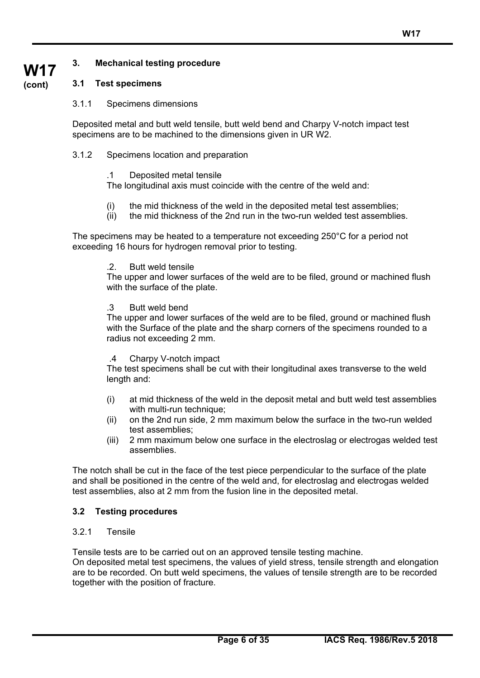## **3. Mechanical testing procedure**

## **3.1 Test specimens**

## 3.1.1 Specimens dimensions

Deposited metal and butt weld tensile, butt weld bend and Charpy V-notch impact test specimens are to be machined to the dimensions given in UR W2.

## 3.1.2 Specimens location and preparation

.1 Deposited metal tensile

The longitudinal axis must coincide with the centre of the weld and:

- (i) the mid thickness of the weld in the deposited metal test assemblies;
- (ii) the mid thickness of the 2nd run in the two-run welded test assemblies.

The specimens may be heated to a temperature not exceeding 250°C for a period not exceeding 16 hours for hydrogen removal prior to testing.

.2. Butt weld tensile

The upper and lower surfaces of the weld are to be filed, ground or machined flush with the surface of the plate.

#### .3 Butt weld bend

The upper and lower surfaces of the weld are to be filed, ground or machined flush with the Surface of the plate and the sharp corners of the specimens rounded to a radius not exceeding 2 mm.

#### .4 Charpy V-notch impact

The test specimens shall be cut with their longitudinal axes transverse to the weld length and:

- (i) at mid thickness of the weld in the deposit metal and butt weld test assemblies with multi-run technique;
- (ii) on the 2nd run side, 2 mm maximum below the surface in the two-run welded test assemblies;
- (iii) 2 mm maximum below one surface in the electroslag or electrogas welded test assemblies.

The notch shall be cut in the face of the test piece perpendicular to the surface of the plate and shall be positioned in the centre of the weld and, for electroslag and electrogas welded test assemblies, also at 2 mm from the fusion line in the deposited metal.

## **3.2 Testing procedures**

#### 3.2.1 Tensile

 $\overline{a}$ 

Tensile tests are to be carried out on an approved tensile testing machine. On deposited metal test specimens, the values of yield stress, tensile strength and elongation are to be recorded. On butt weld specimens, the values of tensile strength are to be recorded together with the position of fracture.

**(cont)**

**W17**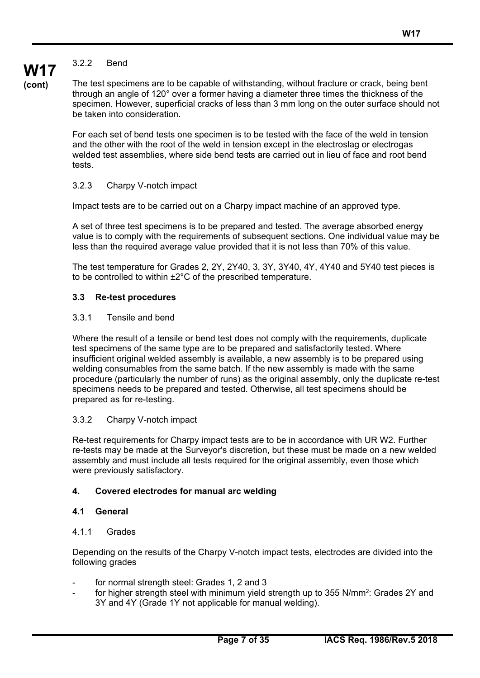## **W17 (cont)**

The test specimens are to be capable of withstanding, without fracture or crack, being bent through an angle of 120° over a former having a diameter three times the thickness of the specimen. However, superficial cracks of less than 3 mm long on the outer surface should not be taken into consideration.

For each set of bend tests one specimen is to be tested with the face of the weld in tension and the other with the root of the weld in tension except in the electroslag or electrogas welded test assemblies, where side bend tests are carried out in lieu of face and root bend tests.

## 3.2.3 Charpy V-notch impact

Impact tests are to be carried out on a Charpy impact machine of an approved type.

A set of three test specimens is to be prepared and tested. The average absorbed energy value is to comply with the requirements of subsequent sections. One individual value may be less than the required average value provided that it is not less than 70% of this value.

The test temperature for Grades 2, 2Y, 2Y40, 3, 3Y, 3Y40, 4Y, 4Y40 and 5Y40 test pieces is to be controlled to within ±2°C of the prescribed temperature.

#### **3.3 Re-test procedures**

#### 3.3.1 Tensile and bend

Where the result of a tensile or bend test does not comply with the requirements, duplicate test specimens of the same type are to be prepared and satisfactorily tested. Where insufficient original welded assembly is available, a new assembly is to be prepared using welding consumables from the same batch. If the new assembly is made with the same procedure (particularly the number of runs) as the original assembly, only the duplicate re-test specimens needs to be prepared and tested. Otherwise, all test specimens should be prepared as for re-testing.

#### 3.3.2 Charpy V-notch impact

Re-test requirements for Charpy impact tests are to be in accordance with UR W2. Further re-tests may be made at the Surveyor's discretion, but these must be made on a new welded assembly and must include all tests required for the original assembly, even those which were previously satisfactory.

#### **4. Covered electrodes for manual arc welding**

#### **4.1 General**

#### 4.1.1 Grades

 $\overline{a}$ 

Depending on the results of the Charpy V-notch impact tests, electrodes are divided into the following grades

- for normal strength steel: Grades 1, 2 and 3
- for higher strength steel with minimum yield strength up to 355 N/mm<sup>2</sup>: Grades 2Y and 3Y and 4Y (Grade 1Y not applicable for manual welding).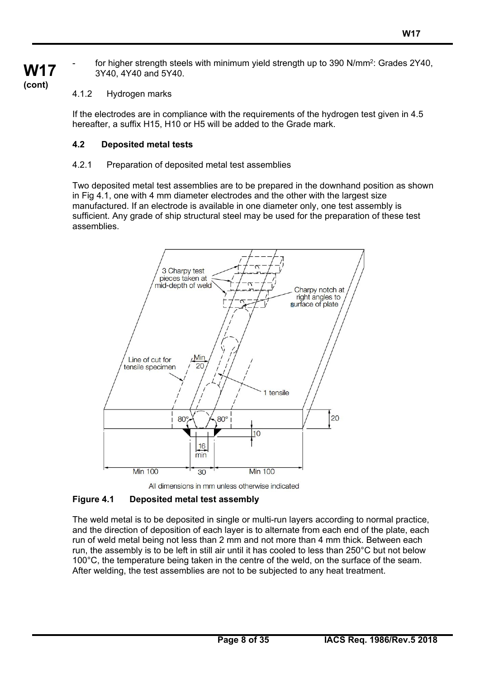for higher strength steels with minimum yield strength up to 390 N/mm<sup>2</sup>: Grades 2Y40, 3Y40, 4Y40 and 5Y40.

**W17 (cont)**

4.1.2 Hydrogen marks

If the electrodes are in compliance with the requirements of the hydrogen test given in 4.5 hereafter, a suffix H15, H10 or H5 will be added to the Grade mark.

#### **4.2 Deposited metal tests**

#### 4.2.1 Preparation of deposited metal test assemblies

Two deposited metal test assemblies are to be prepared in the downhand position as shown in Fig 4.1, one with 4 mm diameter electrodes and the other with the largest size manufactured. If an electrode is available in one diameter only, one test assembly is sufficient. Any grade of ship structural steel may be used for the preparation of these test assemblies.



All dimensions in mm unless otherwise indicated

#### **Figure 4.1 Deposited metal test assembly**

 $\overline{a}$ 

The weld metal is to be deposited in single or multi-run layers according to normal practice, and the direction of deposition of each layer is to alternate from each end of the plate, each run of weld metal being not less than 2 mm and not more than 4 mm thick. Between each run, the assembly is to be left in still air until it has cooled to less than 250°C but not below 100°C, the temperature being taken in the centre of the weld, on the surface of the seam. After welding, the test assemblies are not to be subjected to any heat treatment.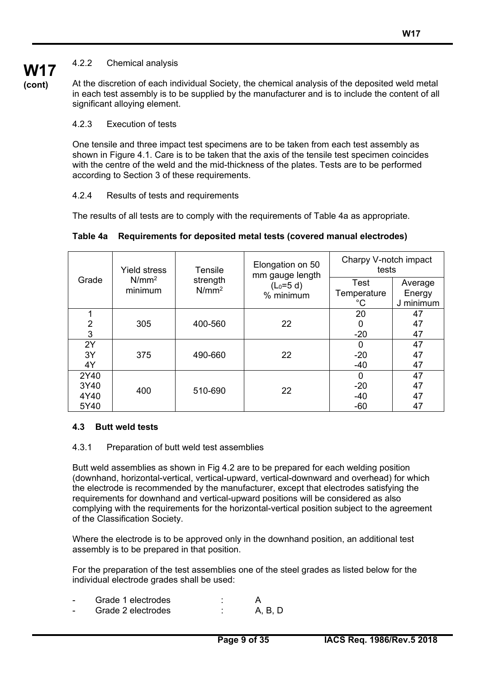## 4.2.2 Chemical analysis

**W17 (cont)**

At the discretion of each individual Society, the chemical analysis of the deposited weld metal in each test assembly is to be supplied by the manufacturer and is to include the content of all significant alloving element.

#### 4.2.3 Execution of tests

One tensile and three impact test specimens are to be taken from each test assembly as shown in Figure 4.1. Care is to be taken that the axis of the tensile test specimen coincides with the centre of the weld and the mid-thickness of the plates. Tests are to be performed according to Section 3 of these requirements.

#### 4.2.4 Results of tests and requirements

The results of all tests are to comply with the requirements of Table 4a as appropriate.

|                | <b>Yield stress</b>          | <b>Tensile</b>                | Elongation on 50<br>mm gauge length | Charpy V-notch impact<br>tests |           |  |
|----------------|------------------------------|-------------------------------|-------------------------------------|--------------------------------|-----------|--|
| Grade          | N/mm <sup>2</sup><br>minimum | strength<br>N/mm <sup>2</sup> | $(L0=5 d)$                          | Test                           | Average   |  |
|                |                              |                               | % minimum                           | Temperature                    | Energy    |  |
|                |                              |                               |                                     | $^{\circ}$ C                   | J minimum |  |
|                |                              |                               |                                     | 20                             | 47        |  |
| $\overline{2}$ | 305                          | 400-560                       | 22                                  | 0                              | 47        |  |
| 3              |                              |                               |                                     | $-20$                          | 47        |  |
| 2Y             |                              |                               |                                     | 0                              | 47        |  |
| 3Y             | 375                          | 490-660                       | 22                                  | $-20$                          | 47        |  |
| 4Y             |                              |                               |                                     | $-40$                          | 47        |  |
| 2Y40           |                              |                               |                                     | 0                              | 47        |  |
| 3Y40           |                              |                               |                                     | $-20$                          | 47        |  |
| 4Y40           | 400                          | 510-690                       | 22                                  | $-40$                          | 47        |  |
| 5Y40           |                              |                               |                                     | $-60$                          | 47        |  |

## **Table 4a Requirements for deposited metal tests (covered manual electrodes)**

#### **4.3 Butt weld tests**

 $\overline{a}$ 

#### 4.3.1 Preparation of butt weld test assemblies

Butt weld assemblies as shown in Fig 4.2 are to be prepared for each welding position (downhand, horizontal-vertical, vertical-upward, vertical-downward and overhead) for which the electrode is recommended by the manufacturer, except that electrodes satisfying the requirements for downhand and vertical-upward positions will be considered as also complying with the requirements for the horizontal-vertical position subject to the agreement of the Classification Society.

Where the electrode is to be approved only in the downhand position, an additional test assembly is to be prepared in that position.

For the preparation of the test assemblies one of the steel grades as listed below for the individual electrode grades shall be used:

| Grade 1 electrodes |         |
|--------------------|---------|
| Grade 2 electrodes | A, B, D |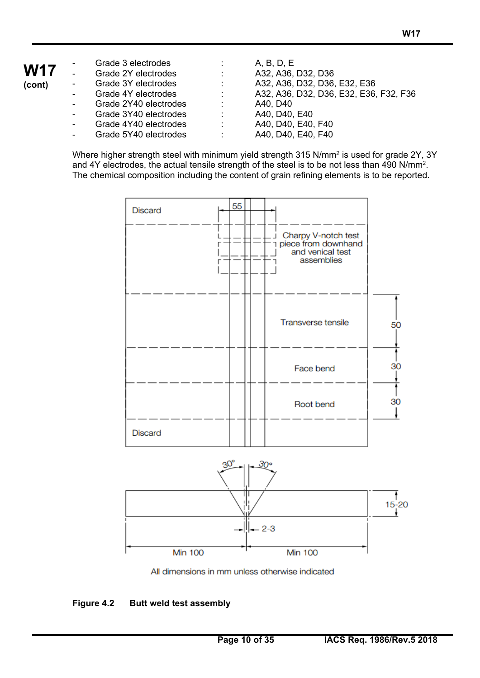|            |                | Grade 3 electrodes    |                            | A, B, D, E                             |
|------------|----------------|-----------------------|----------------------------|----------------------------------------|
| <b>W17</b> | ۰              | Grade 2Y electrodes   | $\mathcal{L}^{\text{max}}$ | A32, A36, D32, D36                     |
| (cont)     | $\blacksquare$ | Grade 3Y electrodes   |                            | A32, A36, D32, D36, E32, E36           |
|            | ۰              | Grade 4Y electrodes   | t.                         | A32, A36, D32, D36, E32, E36, F32, F36 |
|            | $\sim 100$     | Grade 2Y40 electrodes | $\mathbb{Z}^{\mathbb{Z}}$  | A40, D40                               |
|            | ۰              | Grade 3Y40 electrodes | $\mathbb{R}^n$             | A40, D40, E40                          |
|            | $\blacksquare$ | Grade 4Y40 electrodes | ÷                          | A40, D40, E40, F40                     |
|            | Ξ.             | Grade 5Y40 electrodes | $\mathbb{R}^n$             | A40, D40, E40, F40                     |
|            |                |                       |                            |                                        |

Where higher strength steel with minimum yield strength 315 N/mm2 is used for grade 2Y, 3Y and 4Y electrodes, the actual tensile strength of the steel is to be not less than 490 N/mm2. The chemical composition including the content of grain refining elements is to be reported.



All dimensions in mm unless otherwise indicated

#### **Figure 4.2 Butt weld test assembly**

 $\overline{a}$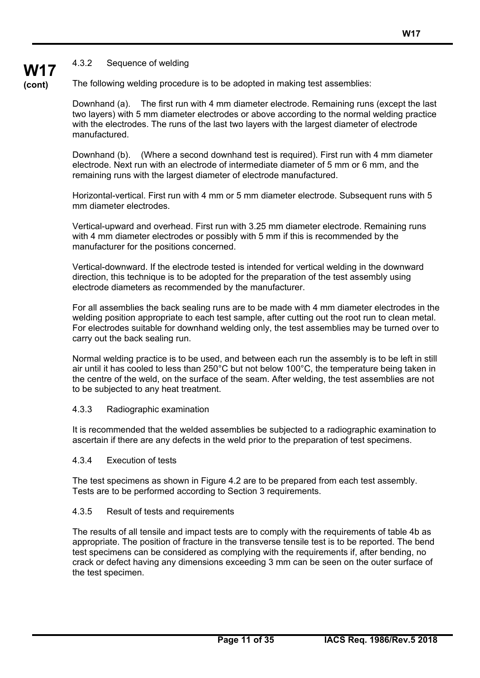#### 4.3.2 Sequence of welding

**W17** 

**(cont)** The following welding procedure is to be adopted in making test assemblies:

> Downhand (a). The first run with 4 mm diameter electrode. Remaining runs (except the last two layers) with 5 mm diameter electrodes or above according to the normal welding practice with the electrodes. The runs of the last two layers with the largest diameter of electrode manufactured.

> Downhand (b). (Where a second downhand test is required). First run with 4 mm diameter electrode. Next run with an electrode of intermediate diameter of 5 mm or 6 mm, and the remaining runs with the largest diameter of electrode manufactured.

> Horizontal-vertical. First run with 4 mm or 5 mm diameter electrode. Subsequent runs with 5 mm diameter electrodes.

Vertical-upward and overhead. First run with 3.25 mm diameter electrode. Remaining runs with 4 mm diameter electrodes or possibly with 5 mm if this is recommended by the manufacturer for the positions concerned.

Vertical-downward. If the electrode tested is intended for vertical welding in the downward direction, this technique is to be adopted for the preparation of the test assembly using electrode diameters as recommended by the manufacturer.

For all assemblies the back sealing runs are to be made with 4 mm diameter electrodes in the welding position appropriate to each test sample, after cutting out the root run to clean metal. For electrodes suitable for downhand welding only, the test assemblies may be turned over to carry out the back sealing run.

Normal welding practice is to be used, and between each run the assembly is to be left in still air until it has cooled to less than 250°C but not below 100°C, the temperature being taken in the centre of the weld, on the surface of the seam. After welding, the test assemblies are not to be subjected to any heat treatment.

#### 4.3.3 Radiographic examination

It is recommended that the welded assemblies be subjected to a radiographic examination to ascertain if there are any defects in the weld prior to the preparation of test specimens.

#### 4.3.4 Execution of tests

 $\overline{a}$ 

The test specimens as shown in Figure 4.2 are to be prepared from each test assembly. Tests are to be performed according to Section 3 requirements.

#### 4.3.5 Result of tests and requirements

The results of all tensile and impact tests are to comply with the requirements of table 4b as appropriate. The position of fracture in the transverse tensile test is to be reported. The bend test specimens can be considered as complying with the requirements if, after bending, no crack or defect having any dimensions exceeding 3 mm can be seen on the outer surface of the test specimen.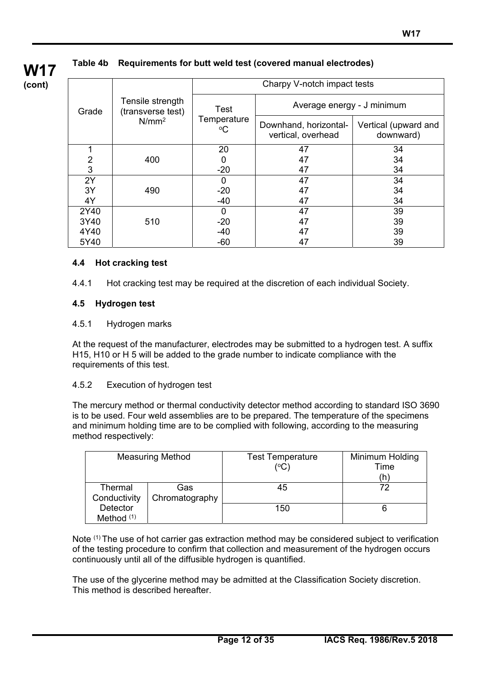## **Table 4b Requirements for butt weld test (covered manual electrodes)**

|       |                                       | Charpy V-notch impact tests    |                                             |                                   |  |  |
|-------|---------------------------------------|--------------------------------|---------------------------------------------|-----------------------------------|--|--|
| Grade | Tensile strength<br>(transverse test) | Test                           | Average energy - J minimum                  |                                   |  |  |
|       | N/mm <sup>2</sup>                     | Temperature<br>$\rm ^{\circ}C$ | Downhand, horizontal-<br>vertical, overhead | Vertical (upward and<br>downward) |  |  |
|       |                                       | 20                             | 47                                          | 34                                |  |  |
| 2     | 400                                   |                                | 47                                          | 34                                |  |  |
| 3     |                                       | $-20$                          | 47                                          | 34                                |  |  |
| 2Y    |                                       | 0                              | 47                                          | 34                                |  |  |
| 3Y    | 490                                   | $-20$                          | 47                                          | 34                                |  |  |
| 4Y    |                                       | $-40$                          | 47                                          | 34                                |  |  |
| 2Y40  |                                       | 0                              | 47                                          | 39                                |  |  |
| 3Y40  | 510                                   | $-20$                          | 47                                          | 39                                |  |  |
| 4Y40  |                                       | $-40$                          | 47                                          | 39                                |  |  |
| 5Y40  |                                       | $-60$                          | 47                                          | 39                                |  |  |

#### **4.4 Hot cracking test**

**W17 (cont)**

4.4.1 Hot cracking test may be required at the discretion of each individual Society.

#### **4.5 Hydrogen test**

 $\overline{a}$ 

#### 4.5.1 Hydrogen marks

At the request of the manufacturer, electrodes may be submitted to a hydrogen test. A suffix H15, H10 or H 5 will be added to the grade number to indicate compliance with the requirements of this test.

#### 4.5.2 Execution of hydrogen test

The mercury method or thermal conductivity detector method according to standard ISO 3690 is to be used. Four weld assemblies are to be prepared. The temperature of the specimens and minimum holding time are to be complied with following, according to the measuring method respectively:

|                                   | <b>Measuring Method</b> | <b>Test Temperature</b><br>(°C | Minimum Holding<br>Time<br>'n |
|-----------------------------------|-------------------------|--------------------------------|-------------------------------|
| Thermal<br>Conductivity           | Gas<br>Chromatography   | 45                             | 72                            |
| Detector<br>Method <sup>(1)</sup> |                         | 150                            |                               |

Note (1) The use of hot carrier gas extraction method may be considered subject to verification of the testing procedure to confirm that collection and measurement of the hydrogen occurs continuously until all of the diffusible hydrogen is quantified.

The use of the glycerine method may be admitted at the Classification Society discretion. This method is described hereafter.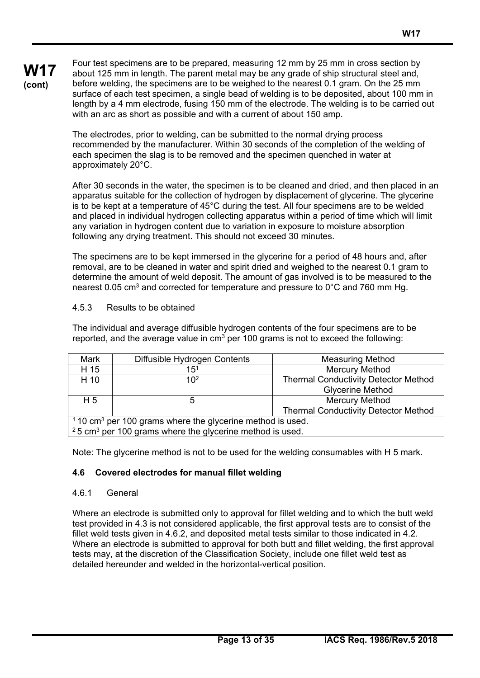Four test specimens are to be prepared, measuring 12 mm by 25 mm in cross section by about 125 mm in length. The parent metal may be any grade of ship structural steel and, before welding, the specimens are to be weighed to the nearest 0.1 gram. On the 25 mm surface of each test specimen, a single bead of welding is to be deposited, about 100 mm in length by a 4 mm electrode, fusing 150 mm of the electrode. The welding is to be carried out with an arc as short as possible and with a current of about 150 amp.

The electrodes, prior to welding, can be submitted to the normal drying process recommended by the manufacturer. Within 30 seconds of the completion of the welding of each specimen the slag is to be removed and the specimen quenched in water at approximately 20°C.

After 30 seconds in the water, the specimen is to be cleaned and dried, and then placed in an apparatus suitable for the collection of hydrogen by displacement of glycerine. The glycerine is to be kept at a temperature of 45°C during the test. All four specimens are to be welded and placed in individual hydrogen collecting apparatus within a period of time which will limit any variation in hydrogen content due to variation in exposure to moisture absorption following any drying treatment. This should not exceed 30 minutes.

The specimens are to be kept immersed in the glycerine for a period of 48 hours and, after removal, are to be cleaned in water and spirit dried and weighed to the nearest 0.1 gram to determine the amount of weld deposit. The amount of gas involved is to be measured to the nearest 0.05 cm<sup>3</sup> and corrected for temperature and pressure to  $0^{\circ}$ C and 760 mm Hg.

## 4.5.3 Results to be obtained

**W17 (cont)**

> The individual and average diffusible hydrogen contents of the four specimens are to be reported, and the average value in  $cm<sup>3</sup>$  per 100 grams is not to exceed the following:

| Mark                                                                 | Diffusible Hydrogen Contents | <b>Measuring Method</b>                     |  |  |
|----------------------------------------------------------------------|------------------------------|---------------------------------------------|--|--|
| H 15                                                                 | $15^{1}$                     | <b>Mercury Method</b>                       |  |  |
| H 10                                                                 | 10 <sup>2</sup>              | <b>Thermal Conductivity Detector Method</b> |  |  |
|                                                                      |                              | <b>Glycerine Method</b>                     |  |  |
| H 5                                                                  | 5                            | <b>Mercury Method</b>                       |  |  |
|                                                                      |                              | <b>Thermal Conductivity Detector Method</b> |  |  |
| $110 \text{ cm}^3$ per 100 grams where the glycerine method is used. |                              |                                             |  |  |
| $25 \text{ cm}^3$ per 100 grams where the glycerine method is used.  |                              |                                             |  |  |

Note: The glycerine method is not to be used for the welding consumables with H 5 mark.

#### **4.6 Covered electrodes for manual fillet welding**

#### 4.6.1 General

 $\overline{a}$ 

Where an electrode is submitted only to approval for fillet welding and to which the butt weld test provided in 4.3 is not considered applicable, the first approval tests are to consist of the fillet weld tests given in 4.6.2, and deposited metal tests similar to those indicated in 4.2. Where an electrode is submitted to approval for both butt and fillet welding, the first approval tests may, at the discretion of the Classification Society, include one fillet weld test as detailed hereunder and welded in the horizontal-vertical position.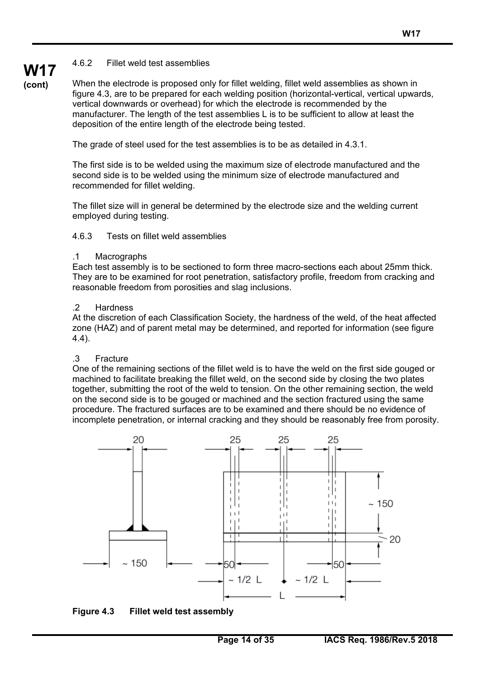#### 4.6.2 Fillet weld test assemblies

**W17 (cont)**

When the electrode is proposed only for fillet welding, fillet weld assemblies as shown in figure 4.3, are to be prepared for each welding position (horizontal-vertical, vertical upwards, vertical downwards or overhead) for which the electrode is recommended by the manufacturer. The length of the test assemblies L is to be sufficient to allow at least the deposition of the entire length of the electrode being tested.

The grade of steel used for the test assemblies is to be as detailed in 4.3.1.

The first side is to be welded using the maximum size of electrode manufactured and the second side is to be welded using the minimum size of electrode manufactured and recommended for fillet welding.

The fillet size will in general be determined by the electrode size and the welding current employed during testing.

#### 4.6.3 Tests on fillet weld assemblies

#### .1 Macrographs

Each test assembly is to be sectioned to form three macro-sections each about 25mm thick. They are to be examined for root penetration, satisfactory profile, freedom from cracking and reasonable freedom from porosities and slag inclusions.

#### .2 Hardness

At the discretion of each Classification Society, the hardness of the weld, of the heat affected zone (HAZ) and of parent metal may be determined, and reported for information (see figure 4.4).

#### .3 Fracture

 $\overline{a}$ 

One of the remaining sections of the fillet weld is to have the weld on the first side gouged or machined to facilitate breaking the fillet weld, on the second side by closing the two plates together, submitting the root of the weld to tension. On the other remaining section, the weld on the second side is to be gouged or machined and the section fractured using the same procedure. The fractured surfaces are to be examined and there should be no evidence of incomplete penetration, or internal cracking and they should be reasonably free from porosity.



**Figure 4.3 Fillet weld test assembly**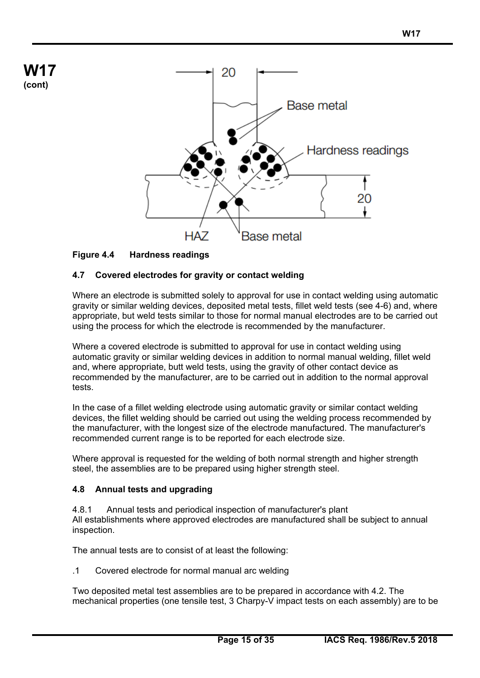



## **Figure 4.4 Hardness readings**

#### **4.7 Covered electrodes for gravity or contact welding**

Where an electrode is submitted solely to approval for use in contact welding using automatic gravity or similar welding devices, deposited metal tests, fillet weld tests (see 4-6) and, where appropriate, but weld tests similar to those for normal manual electrodes are to be carried out using the process for which the electrode is recommended by the manufacturer.

Where a covered electrode is submitted to approval for use in contact welding using automatic gravity or similar welding devices in addition to normal manual welding, fillet weld and, where appropriate, butt weld tests, using the gravity of other contact device as recommended by the manufacturer, are to be carried out in addition to the normal approval tests.

In the case of a fillet welding electrode using automatic gravity or similar contact welding devices, the fillet welding should be carried out using the welding process recommended by the manufacturer, with the longest size of the electrode manufactured. The manufacturer's recommended current range is to be reported for each electrode size.

Where approval is requested for the welding of both normal strength and higher strength steel, the assemblies are to be prepared using higher strength steel.

#### **4.8 Annual tests and upgrading**

 $\overline{a}$ 

4.8.1 Annual tests and periodical inspection of manufacturer's plant All establishments where approved electrodes are manufactured shall be subject to annual inspection.

The annual tests are to consist of at least the following:

.1 Covered electrode for normal manual arc welding

Two deposited metal test assemblies are to be prepared in accordance with 4.2. The mechanical properties (one tensile test, 3 Charpy-V impact tests on each assembly) are to be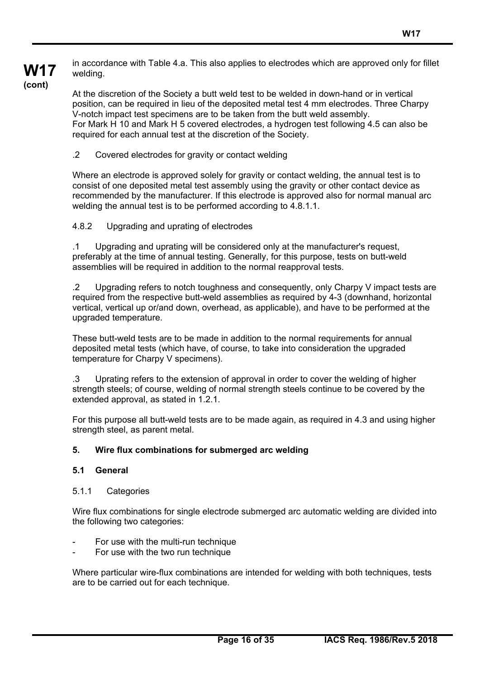**W17**  in accordance with Table 4.a. This also applies to electrodes which are approved only for fillet welding.

**(cont)**

At the discretion of the Society a butt weld test to be welded in down-hand or in vertical position, can be required in lieu of the deposited metal test 4 mm electrodes. Three Charpy V-notch impact test specimens are to be taken from the butt weld assembly. For Mark H 10 and Mark H 5 covered electrodes, a hydrogen test following 4.5 can also be required for each annual test at the discretion of the Society.

.2 Covered electrodes for gravity or contact welding

Where an electrode is approved solely for gravity or contact welding, the annual test is to consist of one deposited metal test assembly using the gravity or other contact device as recommended by the manufacturer. If this electrode is approved also for normal manual arc welding the annual test is to be performed according to 4.8.1.1.

4.8.2 Upgrading and uprating of electrodes

.1 Upgrading and uprating will be considered only at the manufacturer's request, preferably at the time of annual testing. Generally, for this purpose, tests on butt-weld assemblies will be required in addition to the normal reapproval tests.

.2 Upgrading refers to notch toughness and consequently, only Charpy V impact tests are required from the respective butt-weld assemblies as required by 4-3 (downhand, horizontal vertical, vertical up or/and down, overhead, as applicable), and have to be performed at the upgraded temperature.

These butt-weld tests are to be made in addition to the normal requirements for annual deposited metal tests (which have, of course, to take into consideration the upgraded temperature for Charpy V specimens).

.3 Uprating refers to the extension of approval in order to cover the welding of higher strength steels; of course, welding of normal strength steels continue to be covered by the extended approval, as stated in 1.2.1.

For this purpose all butt-weld tests are to be made again, as required in 4.3 and using higher strength steel, as parent metal.

#### **5. Wire flux combinations for submerged arc welding**

#### **5.1 General**

 $\overline{a}$ 

5.1.1 Categories

Wire flux combinations for single electrode submerged arc automatic welding are divided into the following two categories:

- For use with the multi-run technique
- For use with the two run technique

Where particular wire-flux combinations are intended for welding with both techniques, tests are to be carried out for each technique.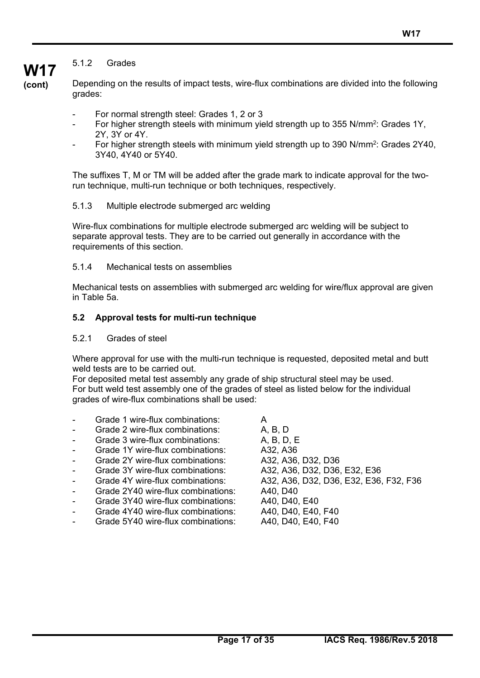#### 5.1.2 Grades

**W17** 

**(cont)** Depending on the results of impact tests, wire-flux combinations are divided into the following grades:

- For normal strength steel: Grades 1, 2 or 3
- For higher strength steels with minimum yield strength up to 355 N/mm<sup>2</sup>: Grades 1Y, 2Y, 3Y or 4Y.
- For higher strength steels with minimum yield strength up to 390 N/mm<sup>2</sup>: Grades 2Y40, 3Y40, 4Y40 or 5Y40.

The suffixes T, M or TM will be added after the grade mark to indicate approval for the tworun technique, multi-run technique or both techniques, respectively.

#### 5.1.3 Multiple electrode submerged arc welding

Wire-flux combinations for multiple electrode submerged arc welding will be subject to separate approval tests. They are to be carried out generally in accordance with the requirements of this section.

5.1.4 Mechanical tests on assemblies

Mechanical tests on assemblies with submerged arc welding for wire/flux approval are given in Table 5a.

#### **5.2 Approval tests for multi-run technique**

#### 5.2.1 Grades of steel

Where approval for use with the multi-run technique is requested, deposited metal and butt weld tests are to be carried out.

For deposited metal test assembly any grade of ship structural steel may be used. For butt weld test assembly one of the grades of steel as listed below for the individual grades of wire-flux combinations shall be used:

- Grade 1 wire-flux combinations: A
- Grade 2 wire-flux combinations: A, B, D
- Grade 3 wire-flux combinations: A, B, D, E
- Grade 1Y wire-flux combinations: A32, A36
- Grade 2Y wire-flux combinations: A32, A36, D32, D36
- Grade 3Y wire-flux combinations: A32, A36, D32, D36, E32, E36
- 
- Grade 2Y40 wire-flux combinations: A40, D40
- Grade 3Y40 wire-flux combinations: A40, D40, E40
- Grade 4Y40 wire-flux combinations: A40, D40, E40, F40
- Grade 5Y40 wire-flux combinations: A40, D40, E40, F40

 $\overline{a}$ 

- Grade 4Y wire-flux combinations: A32, A36, D32, D36, E32, E36, F32, F36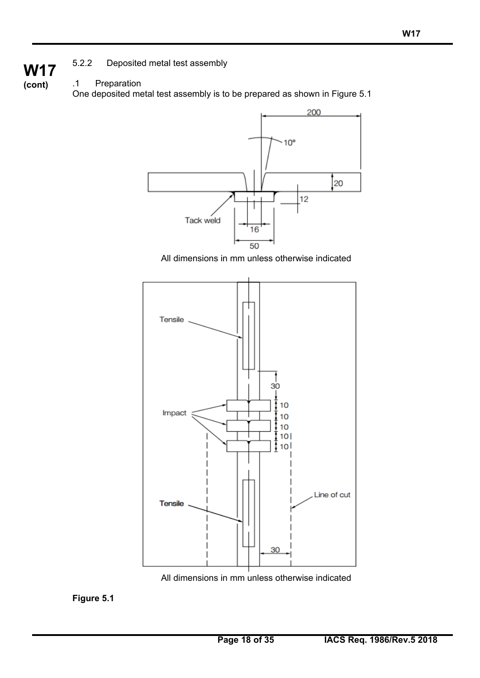#### **W17**  5.2.2 Deposited metal test assembly

## .1 Preparation

**(cont)**

One deposited metal test assembly is to be prepared as shown in Figure 5.1



All dimensions in mm unless otherwise indicated



All dimensions in mm unless otherwise indicated



 $\overline{a}$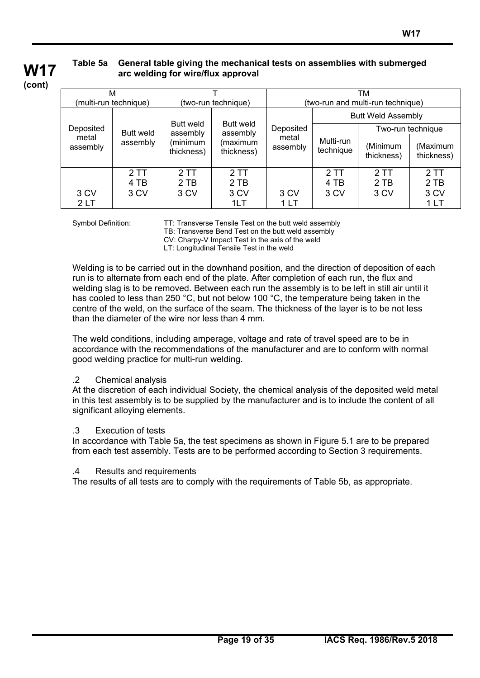#### **W17 Table 5a General table giving the mechanical tests on assemblies with submerged arc welding for wire/flux approval**

**(cont)**

| M<br>(multi-run technique) |           |                        | (two-run technique)    | тм<br>(two-run and multi-run technique) |                           |                        |                        |  |
|----------------------------|-----------|------------------------|------------------------|-----------------------------------------|---------------------------|------------------------|------------------------|--|
|                            |           | <b>Butt weld</b>       | <b>Butt weld</b>       |                                         | <b>Butt Weld Assembly</b> |                        |                        |  |
| Deposited                  | Butt weld | assembly               | assembly               | Deposited                               |                           |                        | Two-run technique      |  |
| metal<br>assembly          | assembly  | (minimum<br>thickness) | (maximum<br>thickness) | metal<br>assembly                       | Multi-run<br>technique    | (Minimum<br>thickness) | (Maximum<br>thickness) |  |
|                            | 2 TT      | 2 TT                   | 2 TT                   |                                         | 2 <sub>T</sub>            | 2 <sub>T</sub>         | 2 <sub>T</sub>         |  |
|                            | 4 TB      | 2 TB                   | 2 TB                   |                                         | 4 TB                      | 2 TB                   | 2 TB                   |  |
| 3 CV                       | 3 CV      | 3 CV                   | 3 CV                   | 3 CV                                    | 3 CV                      | 3 CV                   | 3 CV                   |  |
| 2LT                        |           |                        | 1LT                    | 1 LT                                    |                           |                        | 1LT                    |  |

Symbol Definition: TT: Transverse Tensile Test on the butt weld assembly

TB: Transverse Bend Test on the butt weld assembly

CV: Charpy-V Impact Test in the axis of the weld

LT: Longitudinal Tensile Test in the weld

Welding is to be carried out in the downhand position, and the direction of deposition of each run is to alternate from each end of the plate. After completion of each run, the flux and welding slag is to be removed. Between each run the assembly is to be left in still air until it has cooled to less than 250 °C, but not below 100 °C, the temperature being taken in the centre of the weld, on the surface of the seam. The thickness of the layer is to be not less than the diameter of the wire nor less than 4 mm.

The weld conditions, including amperage, voltage and rate of travel speed are to be in accordance with the recommendations of the manufacturer and are to conform with normal good welding practice for multi-run welding.

#### .2 Chemical analysis

At the discretion of each individual Society, the chemical analysis of the deposited weld metal in this test assembly is to be supplied by the manufacturer and is to include the content of all significant alloying elements.

#### .3 Execution of tests

 $\overline{a}$ 

In accordance with Table 5a, the test specimens as shown in Figure 5.1 are to be prepared from each test assembly. Tests are to be performed according to Section 3 requirements.

#### .4 Results and requirements

The results of all tests are to comply with the requirements of Table 5b, as appropriate.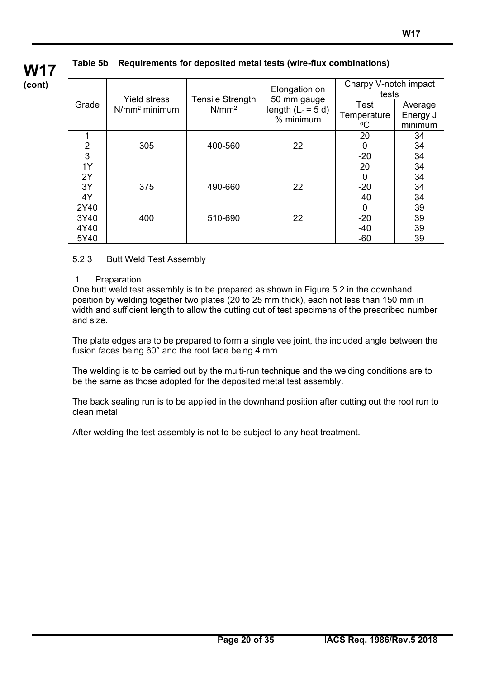## **W17 (cont)**

## **Table 5b Requirements for deposited metal tests (wire-flux combinations)**

|                |                                                  |                                              | Elongation on                       | Charpy V-notch impact<br>tests |          |  |
|----------------|--------------------------------------------------|----------------------------------------------|-------------------------------------|--------------------------------|----------|--|
| Grade          | <b>Yield stress</b><br>N/mm <sup>2</sup> minimum | <b>Tensile Strength</b><br>N/mm <sup>2</sup> | 50 mm gauge<br>length $(L_0 = 5 d)$ | Test                           | Average  |  |
|                |                                                  |                                              | % minimum                           | Temperature                    | Energy J |  |
|                |                                                  |                                              |                                     | $\rm ^{o}C$                    | minimum  |  |
|                |                                                  |                                              |                                     | 20                             | 34       |  |
| $\overline{2}$ | 305                                              | 400-560                                      | 22                                  | $\Omega$                       | 34       |  |
| 3              |                                                  |                                              |                                     | $-20$                          | 34       |  |
| 1Y             |                                                  |                                              |                                     | 20                             | 34       |  |
| 2Y             |                                                  |                                              |                                     | $\Omega$                       | 34       |  |
| 3Y             | 375                                              | 490-660                                      | 22                                  | $-20$                          | 34       |  |
| 4Y             |                                                  |                                              |                                     | $-40$                          | 34       |  |
| 2Y40           |                                                  |                                              |                                     | $\Omega$                       | 39       |  |
| 3Y40           | 400                                              | 510-690                                      | 22                                  | $-20$                          | 39       |  |
| 4Y40           |                                                  |                                              |                                     | $-40$                          | 39       |  |
| 5Y40           |                                                  |                                              |                                     | $-60$                          | 39       |  |

## 5.2.3 Butt Weld Test Assembly

## .1 Preparation

 $\overline{a}$ 

One butt weld test assembly is to be prepared as shown in Figure 5.2 in the downhand position by welding together two plates (20 to 25 mm thick), each not less than 150 mm in width and sufficient length to allow the cutting out of test specimens of the prescribed number and size.

The plate edges are to be prepared to form a single vee joint, the included angle between the fusion faces being 60° and the root face being 4 mm.

The welding is to be carried out by the multi-run technique and the welding conditions are to be the same as those adopted for the deposited metal test assembly.

The back sealing run is to be applied in the downhand position after cutting out the root run to clean metal.

After welding the test assembly is not to be subject to any heat treatment.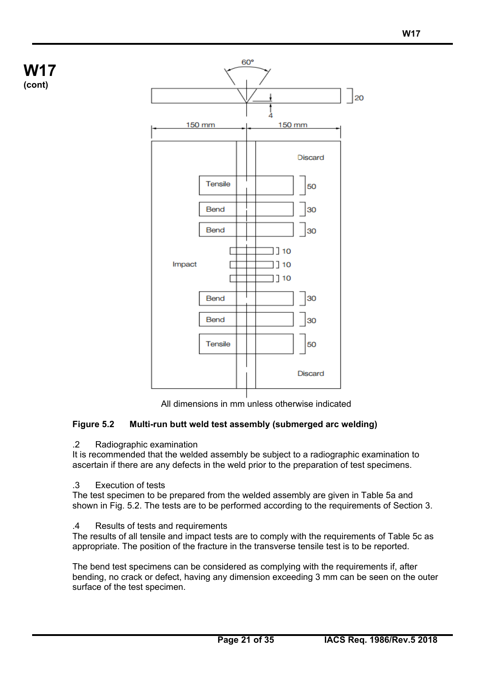**W17 (cont)**



All dimensions in mm unless otherwise indicated

#### **Figure 5.2 Multi-run butt weld test assembly (submerged arc welding)**

#### .2 Radiographic examination

It is recommended that the welded assembly be subject to a radiographic examination to ascertain if there are any defects in the weld prior to the preparation of test specimens.

#### .3 Execution of tests

 $\overline{a}$ 

The test specimen to be prepared from the welded assembly are given in Table 5a and shown in Fig. 5.2. The tests are to be performed according to the requirements of Section 3.

#### .4 Results of tests and requirements

The results of all tensile and impact tests are to comply with the requirements of Table 5c as appropriate. The position of the fracture in the transverse tensile test is to be reported.

The bend test specimens can be considered as complying with the requirements if, after bending, no crack or defect, having any dimension exceeding 3 mm can be seen on the outer surface of the test specimen.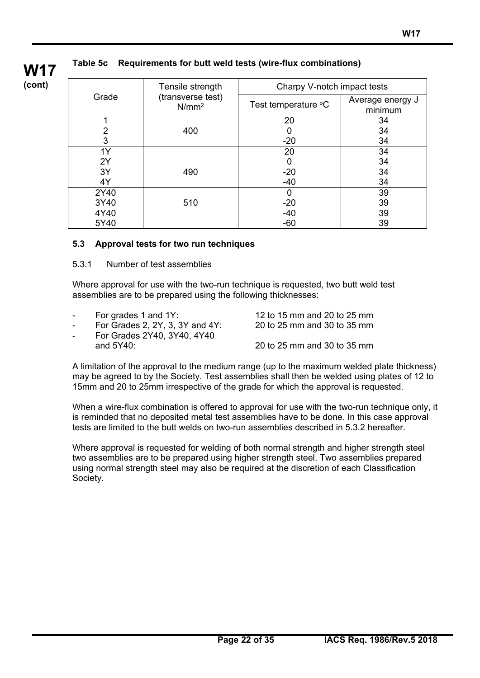|       | Tensile strength                       | Charpy V-notch impact tests |                             |  |  |
|-------|----------------------------------------|-----------------------------|-----------------------------|--|--|
| Grade | (transverse test)<br>N/mm <sup>2</sup> | Test temperature °C         | Average energy J<br>minimum |  |  |
|       |                                        | 20                          | 34                          |  |  |
| 2     | 400                                    |                             | 34                          |  |  |
| 3     |                                        | $-20$                       | 34                          |  |  |
| 1Y    |                                        | 20                          | 34                          |  |  |
| 2Y    |                                        | 0                           | 34                          |  |  |
| 3Y    | 490                                    | $-20$                       | 34                          |  |  |
| 4Y    |                                        | $-40$                       | 34                          |  |  |
| 2Y40  |                                        | 0                           | 39                          |  |  |
| 3Y40  | 510                                    | $-20$                       | 39                          |  |  |
| 4Y40  |                                        | $-40$                       | 39                          |  |  |
| 5Y40  |                                        | $-60$                       | 39                          |  |  |

## **Table 5c Requirements for butt weld tests (wire-flux combinations)**

#### **5.3 Approval tests for two run techniques**

#### 5.3.1 Number of test assemblies

Where approval for use with the two-run technique is requested, two butt weld test assemblies are to be prepared using the following thicknesses:

**W17 (cont)**

 $\overline{a}$ 

- For Grades 2, 2Y, 3, 3Y and  $4Y$ :
- For Grades 2Y40, 3Y40, 4Y40

For grades 1 and 1Y:  $\begin{array}{r} \hbox{12 to 15 mm and 20 to 25 mm} \\ \hbox{For Grades 2. 2Y. 3. 3Y and 4Y:} \end{array}$  12 to 15 mm and 30 to 35 mm

and 5Y40: 20 to 25 mm and 30 to 35 mm

A limitation of the approval to the medium range (up to the maximum welded plate thickness) may be agreed to by the Society. Test assemblies shall then be welded using plates of 12 to 15mm and 20 to 25mm irrespective of the grade for which the approval is requested.

When a wire-flux combination is offered to approval for use with the two-run technique only, it is reminded that no deposited metal test assemblies have to be done. In this case approval tests are limited to the butt welds on two-run assemblies described in 5.3.2 hereafter.

Where approval is requested for welding of both normal strength and higher strength steel two assemblies are to be prepared using higher strength steel. Two assemblies prepared using normal strength steel may also be required at the discretion of each Classification Society.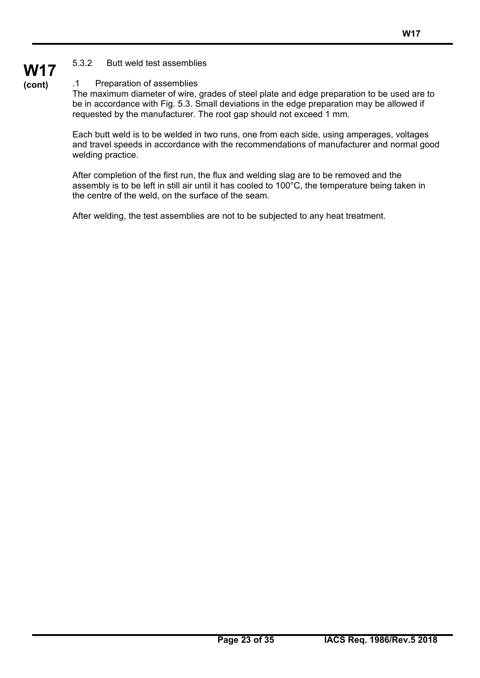#### 5.3.2 Butt weld test assemblies

**W17 (cont)**

 $\overline{a}$ 

.1 Preparation of assemblies

The maximum diameter of wire, grades of steel plate and edge preparation to be used are to be in accordance with Fig. 5.3. Small deviations in the edge preparation may be allowed if requested by the manufacturer. The root gap should not exceed 1 mm.

Each butt weld is to be welded in two runs, one from each side, using amperages, voltages and travel speeds in accordance with the recommendations of manufacturer and normal good welding practice.

After completion of the first run, the flux and welding slag are to be removed and the assembly is to be left in still air until it has cooled to 100°C, the temperature being taken in the centre of the weld, on the surface of the seam.

After welding, the test assemblies are not to be subjected to any heat treatment.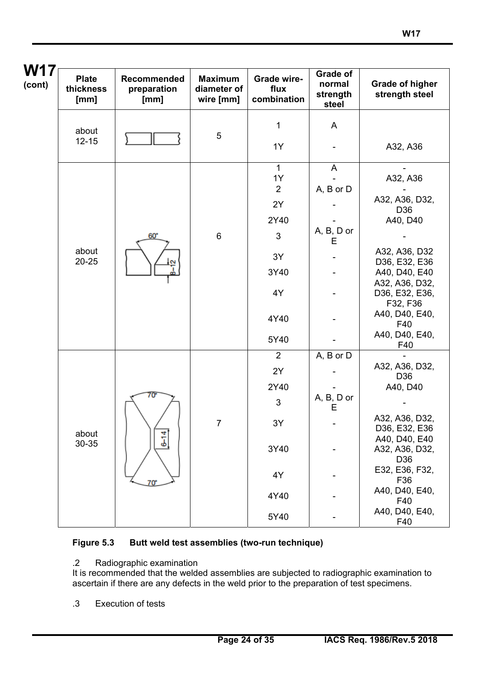| W17<br>(cont) | <b>Plate</b><br>thickness<br>[mm] | Recommended<br>preparation<br>[mm] | <b>Maximum</b><br>diameter of<br>wire [mm] | <b>Grade wire-</b><br>flux<br>combination                                                   | Grade of<br>normal<br>strength<br>steel | <b>Grade of higher</b><br>strength steel                                                                                                                                                           |
|---------------|-----------------------------------|------------------------------------|--------------------------------------------|---------------------------------------------------------------------------------------------|-----------------------------------------|----------------------------------------------------------------------------------------------------------------------------------------------------------------------------------------------------|
|               | about<br>$12 - 15$                |                                    | $\sqrt{5}$                                 | 1<br>1Y                                                                                     | A                                       | A32, A36                                                                                                                                                                                           |
|               | about<br>20-25                    | $60^{\circ}$<br>N                  | $\,6\,$                                    | $\mathbf{1}$<br>1Y<br>$\overline{2}$<br>2Y<br>2Y40<br>3<br>3Y<br>3Y40<br>4Y<br>4Y40<br>5Y40 | A<br>A, B or D<br>A, B, D or<br>Е       | A32, A36<br>A32, A36, D32,<br>D36<br>A40, D40<br>A32, A36, D32<br>D36, E32, E36<br>A40, D40, E40<br>A32, A36, D32,<br>D36, E32, E36,<br>F32, F36<br>A40, D40, E40,<br>F40<br>A40, D40, E40,<br>F40 |
|               | about<br>30-35                    | $6 - 14$                           | $\overline{7}$                             | 2<br>2Y<br>2Y40<br>$\mathfrak{B}$<br>3Y<br>3Y40<br>4Y<br>4Y40<br>5Y40                       | A, B or D<br>A, B, D or<br>Ε            | A32, A36, D32,<br>D36<br>A40, D40<br>A32, A36, D32,<br>D36, E32, E36<br>A40, D40, E40<br>A32, A36, D32,<br>D36<br>E32, E36, F32,<br>F36<br>A40, D40, E40,<br>F40<br>A40, D40, E40,<br>F40          |

## **Figure 5.3 Butt weld test assemblies (two-run technique)**

#### .2 Radiographic examination

It is recommended that the welded assemblies are subjected to radiographic examination to ascertain if there are any defects in the weld prior to the preparation of test specimens.

.3 Execution of tests

 $\overline{a}$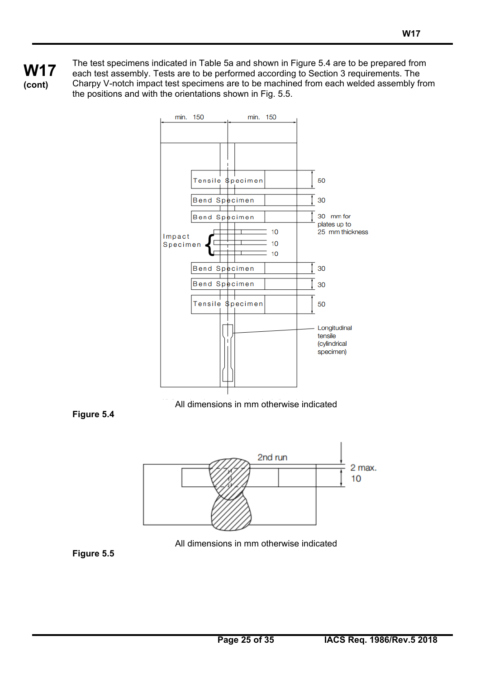**W17 (cont)** The test specimens indicated in Table 5a and shown in Figure 5.4 are to be prepared from each test assembly. Tests are to be performed according to Section 3 requirements. The Charpy V-notch impact test specimens are to be machined from each welded assembly from the positions and with the orientations shown in Fig. 5.5.



All dimensions in mm otherwise indicated





All dimensions in mm otherwise indicated



 $\overline{a}$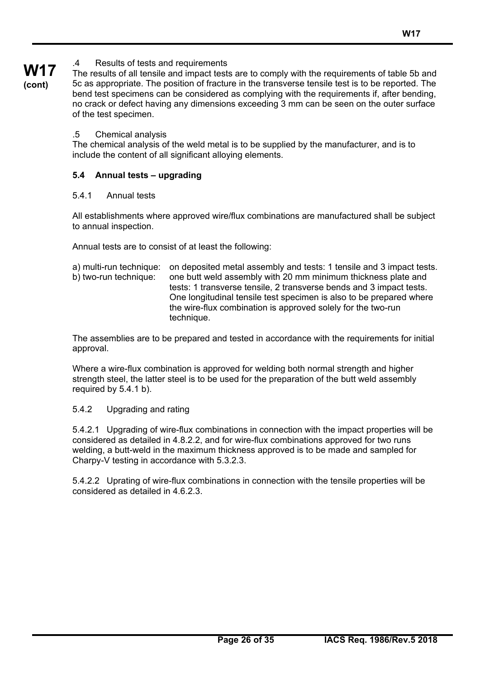## .4 Results of tests and requirements

**W17 (cont)**

The results of all tensile and impact tests are to comply with the requirements of table 5b and 5c as appropriate. The position of fracture in the transverse tensile test is to be reported. The bend test specimens can be considered as complying with the requirements if, after bending, no crack or defect having any dimensions exceeding 3 mm can be seen on the outer surface of the test specimen.

#### .5 Chemical analysis

The chemical analysis of the weld metal is to be supplied by the manufacturer, and is to include the content of all significant alloying elements.

#### **5.4 Annual tests – upgrading**

#### 5.4.1 Annual tests

All establishments where approved wire/flux combinations are manufactured shall be subject to annual inspection.

Annual tests are to consist of at least the following:

|                       | a) multi-run technique: on deposited metal assembly and tests: 1 tensile and 3 impact tests. |
|-----------------------|----------------------------------------------------------------------------------------------|
| b) two-run technique: | one butt weld assembly with 20 mm minimum thickness plate and                                |
|                       | tests: 1 transverse tensile, 2 transverse bends and 3 impact tests.                          |
|                       | One longitudinal tensile test specimen is also to be prepared where                          |
|                       | the wire-flux combination is approved solely for the two-run                                 |
|                       | technique.                                                                                   |

The assemblies are to be prepared and tested in accordance with the requirements for initial approval.

Where a wire-flux combination is approved for welding both normal strength and higher strength steel, the latter steel is to be used for the preparation of the butt weld assembly required by 5.4.1 b).

#### 5.4.2 Upgrading and rating

 $\overline{a}$ 

5.4.2.1 Upgrading of wire-flux combinations in connection with the impact properties will be considered as detailed in 4.8.2.2, and for wire-flux combinations approved for two runs welding, a butt-weld in the maximum thickness approved is to be made and sampled for Charpy-V testing in accordance with 5.3.2.3.

5.4.2.2 Uprating of wire-flux combinations in connection with the tensile properties will be considered as detailed in 4.6.2.3.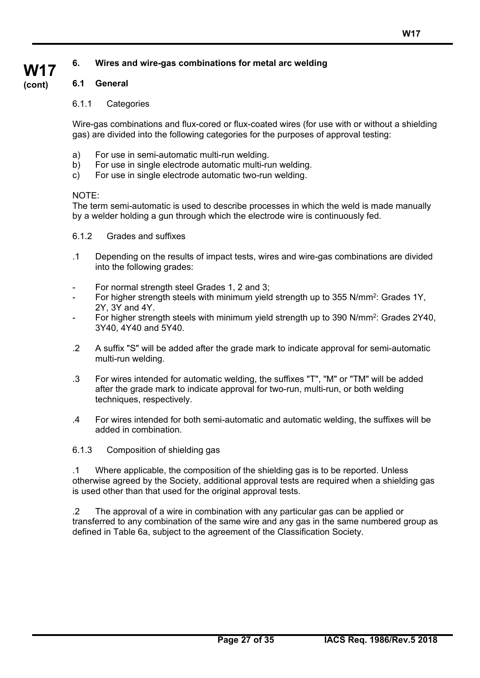#### **W17 6. Wires and wire-gas combinations for metal arc welding**

## **6.1 General**

**(cont)**

#### 6.1.1 Categories

Wire-gas combinations and flux-cored or flux-coated wires (for use with or without a shielding gas) are divided into the following categories for the purposes of approval testing:

- a) For use in semi-automatic multi-run welding.
- b) For use in single electrode automatic multi-run welding.
- c) For use in single electrode automatic two-run welding.

#### NOTE:

 $\overline{a}$ 

The term semi-automatic is used to describe processes in which the weld is made manually by a welder holding a gun through which the electrode wire is continuously fed.

- 6.1.2 Grades and suffixes
- .1 Depending on the results of impact tests, wires and wire-gas combinations are divided into the following grades:
- For normal strength steel Grades 1, 2 and 3;
- For higher strength steels with minimum yield strength up to 355 N/mm<sup>2</sup>: Grades 1Y, 2Y, 3Y and 4Y.
- For higher strength steels with minimum yield strength up to 390 N/mm<sup>2</sup>: Grades 2Y40, 3Y40, 4Y40 and 5Y40.
- .2 A suffix "S" will be added after the grade mark to indicate approval for semi-automatic multi-run welding.
- .3 For wires intended for automatic welding, the suffixes "T", "M" or "TM" will be added after the grade mark to indicate approval for two-run, multi-run, or both welding techniques, respectively.
- .4 For wires intended for both semi-automatic and automatic welding, the suffixes will be added in combination.
- 6.1.3 Composition of shielding gas

.1 Where applicable, the composition of the shielding gas is to be reported. Unless otherwise agreed by the Society, additional approval tests are required when a shielding gas is used other than that used for the original approval tests.

.2 The approval of a wire in combination with any particular gas can be applied or transferred to any combination of the same wire and any gas in the same numbered group as defined in Table 6a, subject to the agreement of the Classification Society.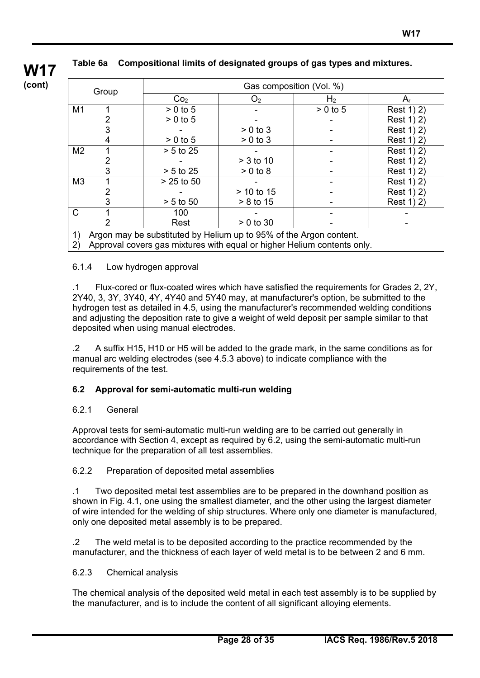#### **W17 Table 6a Compositional limits of designated groups of gas types and mixtures.**

**(cont)**

| Group          |   | Gas composition (Vol. %) |                                                                    |                                                                         |            |
|----------------|---|--------------------------|--------------------------------------------------------------------|-------------------------------------------------------------------------|------------|
|                |   | Co <sub>2</sub>          | O2                                                                 | H <sub>2</sub>                                                          | $A_r$      |
| M1             |   | $> 0$ to 5               |                                                                    | $> 0$ to 5                                                              | Rest 1) 2) |
|                | 2 | $> 0$ to 5               |                                                                    |                                                                         | Rest 1) 2) |
|                | 3 |                          | $> 0$ to 3                                                         |                                                                         | Rest 1) 2) |
|                | 4 | $> 0$ to 5               | $> 0$ to 3                                                         |                                                                         | Rest 1) 2) |
| M <sub>2</sub> |   | $> 5$ to 25              |                                                                    |                                                                         | Rest 1) 2) |
|                |   |                          | $>$ 3 to 10                                                        |                                                                         | Rest 1) 2) |
|                | 3 | $> 5$ to 25              | $> 0$ to 8                                                         |                                                                         | Rest 1) 2) |
| M <sub>3</sub> |   | $> 25$ to 50             |                                                                    |                                                                         | Rest 1) 2) |
|                | 2 |                          | $> 10$ to 15                                                       |                                                                         | Rest 1) 2) |
|                | 3 | $> 5$ to 50              | $> 8$ to 15                                                        |                                                                         | Rest 1) 2) |
| $\mathsf{C}$   |   | 100                      |                                                                    |                                                                         |            |
|                |   | Rest                     | $> 0$ to 30                                                        |                                                                         |            |
| 1)<br>2)       |   |                          | Argon may be substituted by Helium up to 95% of the Argon content. | Approval covers gas mixtures with equal or higher Helium contents only. |            |

#### 6.1.4 Low hydrogen approval

.1 Flux-cored or flux-coated wires which have satisfied the requirements for Grades 2, 2Y, 2Y40, 3, 3Y, 3Y40, 4Y, 4Y40 and 5Y40 may, at manufacturer's option, be submitted to the hydrogen test as detailed in 4.5, using the manufacturer's recommended welding conditions and adjusting the deposition rate to give a weight of weld deposit per sample similar to that deposited when using manual electrodes.

.2 A suffix H15, H10 or H5 will be added to the grade mark, in the same conditions as for manual arc welding electrodes (see 4.5.3 above) to indicate compliance with the requirements of the test.

## **6.2 Approval for semi-automatic multi-run welding**

#### 6.2.1 General

Approval tests for semi-automatic multi-run welding are to be carried out generally in accordance with Section 4, except as required by 6.2, using the semi-automatic multi-run technique for the preparation of all test assemblies.

6.2.2 Preparation of deposited metal assemblies

.1 Two deposited metal test assemblies are to be prepared in the downhand position as shown in Fig. 4.1, one using the smallest diameter, and the other using the largest diameter of wire intended for the welding of ship structures. Where only one diameter is manufactured, only one deposited metal assembly is to be prepared.

.2 The weld metal is to be deposited according to the practice recommended by the manufacturer, and the thickness of each layer of weld metal is to be between 2 and 6 mm.

#### 6.2.3 Chemical analysis

 $\overline{a}$ 

The chemical analysis of the deposited weld metal in each test assembly is to be supplied by the manufacturer, and is to include the content of all significant alloying elements.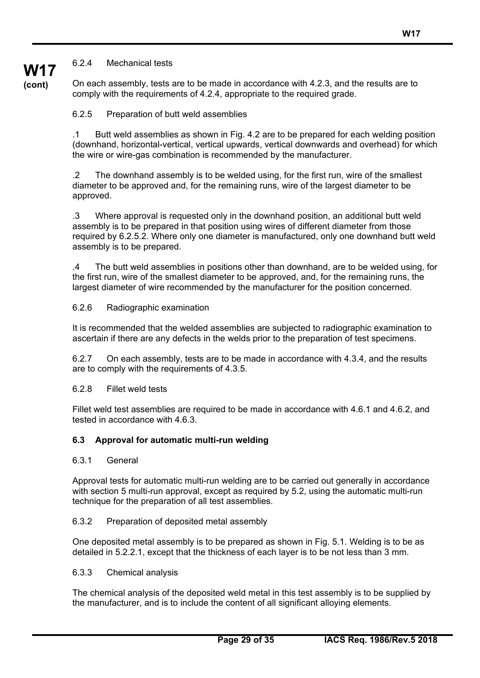6.2.4 Mechanical tests

**W17 (cont)**

On each assembly, tests are to be made in accordance with 4.2.3, and the results are to

comply with the requirements of 4.2.4, appropriate to the required grade.

6.2.5 Preparation of butt weld assemblies

.1 Butt weld assemblies as shown in Fig. 4.2 are to be prepared for each welding position (downhand, horizontal-vertical, vertical upwards, vertical downwards and overhead) for which the wire or wire-gas combination is recommended by the manufacturer.

.2 The downhand assembly is to be welded using, for the first run, wire of the smallest diameter to be approved and, for the remaining runs, wire of the largest diameter to be approved.

.3 Where approval is requested only in the downhand position, an additional butt weld assembly is to be prepared in that position using wires of different diameter from those required by 6.2.5.2. Where only one diameter is manufactured, only one downhand butt weld assembly is to be prepared.

.4 The butt weld assemblies in positions other than downhand, are to be welded using, for the first run, wire of the smallest diameter to be approved, and, for the remaining runs, the largest diameter of wire recommended by the manufacturer for the position concerned.

## 6.2.6 Radiographic examination

It is recommended that the welded assemblies are subjected to radiographic examination to ascertain if there are any defects in the welds prior to the preparation of test specimens.

6.2.7 On each assembly, tests are to be made in accordance with 4.3.4, and the results are to comply with the requirements of 4.3.5.

#### 6.2.8 Fillet weld tests

Fillet weld test assemblies are required to be made in accordance with 4.6.1 and 4.6.2, and tested in accordance with 4.6.3.

## **6.3 Approval for automatic multi-run welding**

#### 6.3.1 General

Approval tests for automatic multi-run welding are to be carried out generally in accordance with section 5 multi-run approval, except as required by 5.2, using the automatic multi-run technique for the preparation of all test assemblies.

#### 6.3.2 Preparation of deposited metal assembly

One deposited metal assembly is to be prepared as shown in Fig. 5.1. Welding is to be as detailed in 5.2.2.1, except that the thickness of each layer is to be not less than 3 mm.

#### 6.3.3 Chemical analysis

 $\overline{a}$ 

The chemical analysis of the deposited weld metal in this test assembly is to be supplied by the manufacturer, and is to include the content of all significant alloying elements.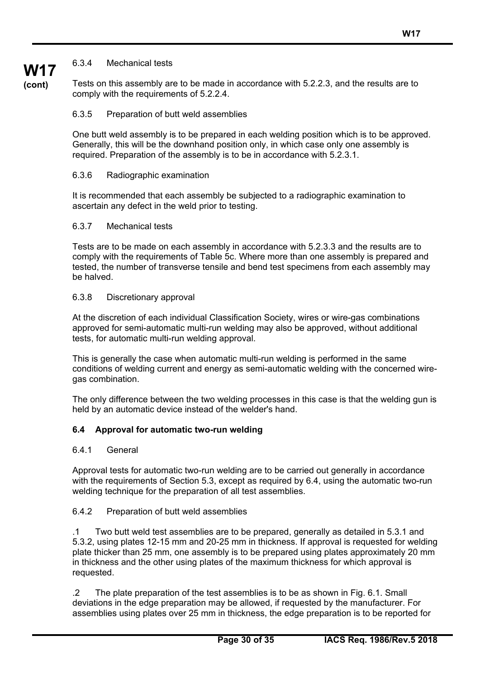## 6.3.4 Mechanical tests

**W17 (cont)**

Tests on this assembly are to be made in accordance with 5.2.2.3, and the results are to comply with the requirements of 5.2.2.4.

#### 6.3.5 Preparation of butt weld assemblies

One butt weld assembly is to be prepared in each welding position which is to be approved. Generally, this will be the downhand position only, in which case only one assembly is required. Preparation of the assembly is to be in accordance with 5.2.3.1.

#### 6.3.6 Radiographic examination

It is recommended that each assembly be subjected to a radiographic examination to ascertain any defect in the weld prior to testing.

#### 6.3.7 Mechanical tests

Tests are to be made on each assembly in accordance with 5.2.3.3 and the results are to comply with the requirements of Table 5c. Where more than one assembly is prepared and tested, the number of transverse tensile and bend test specimens from each assembly may be halved.

#### 6.3.8 Discretionary approval

At the discretion of each individual Classification Society, wires or wire-gas combinations approved for semi-automatic multi-run welding may also be approved, without additional tests, for automatic multi-run welding approval.

This is generally the case when automatic multi-run welding is performed in the same conditions of welding current and energy as semi-automatic welding with the concerned wiregas combination.

The only difference between the two welding processes in this case is that the welding gun is held by an automatic device instead of the welder's hand.

#### **6.4 Approval for automatic two-run welding**

#### 6.4.1 General

 $\overline{a}$ 

Approval tests for automatic two-run welding are to be carried out generally in accordance with the requirements of Section 5.3, except as required by 6.4, using the automatic two-run welding technique for the preparation of all test assemblies.

#### 6.4.2 Preparation of butt weld assemblies

.1 Two butt weld test assemblies are to be prepared, generally as detailed in 5.3.1 and 5.3.2, using plates 12-15 mm and 20-25 mm in thickness. If approval is requested for welding plate thicker than 25 mm, one assembly is to be prepared using plates approximately 20 mm in thickness and the other using plates of the maximum thickness for which approval is requested.

.2 The plate preparation of the test assemblies is to be as shown in Fig. 6.1. Small deviations in the edge preparation may be allowed, if requested by the manufacturer. For assemblies using plates over 25 mm in thickness, the edge preparation is to be reported for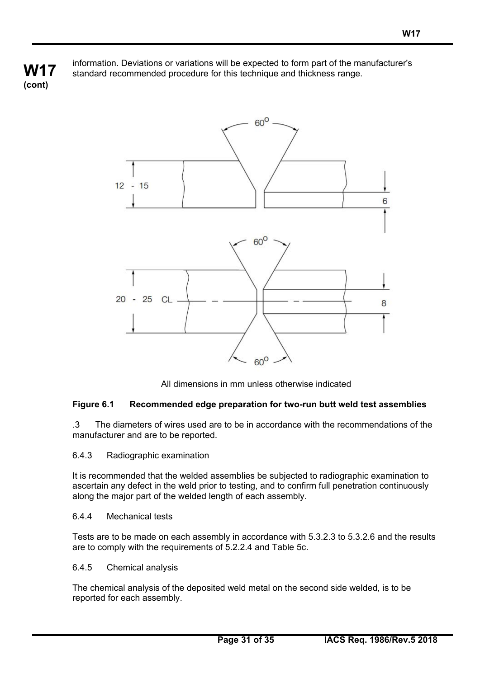**W17 (cont)** information. Deviations or variations will be expected to form part of the manufacturer's standard recommended procedure for this technique and thickness range.



All dimensions in mm unless otherwise indicated

## **Figure 6.1 Recommended edge preparation for two-run butt weld test assemblies**

.3 The diameters of wires used are to be in accordance with the recommendations of the manufacturer and are to be reported.

#### 6.4.3 Radiographic examination

It is recommended that the welded assemblies be subjected to radiographic examination to ascertain any defect in the weld prior to testing, and to confirm full penetration continuously along the major part of the welded length of each assembly.

#### 6.4.4 Mechanical tests

Tests are to be made on each assembly in accordance with 5.3.2.3 to 5.3.2.6 and the results are to comply with the requirements of 5.2.2.4 and Table 5c.

#### 6.4.5 Chemical analysis

 $\overline{a}$ 

The chemical analysis of the deposited weld metal on the second side welded, is to be reported for each assembly.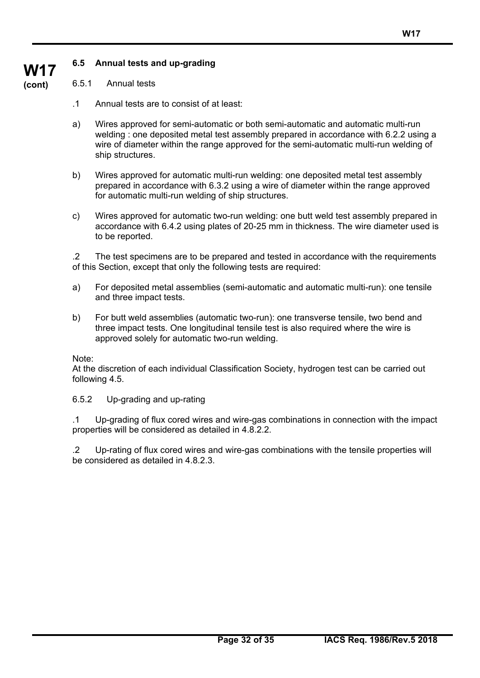#### **W17 6.5 Annual tests and up-grading**

#### **(cont)** 6.5.1 Annual tests

- .1 Annual tests are to consist of at least:
- a) Wires approved for semi-automatic or both semi-automatic and automatic multi-run welding : one deposited metal test assembly prepared in accordance with 6.2.2 using a wire of diameter within the range approved for the semi-automatic multi-run welding of ship structures.
- b) Wires approved for automatic multi-run welding: one deposited metal test assembly prepared in accordance with 6.3.2 using a wire of diameter within the range approved for automatic multi-run welding of ship structures.
- c) Wires approved for automatic two-run welding: one butt weld test assembly prepared in accordance with 6.4.2 using plates of 20-25 mm in thickness. The wire diameter used is to be reported.

.2 The test specimens are to be prepared and tested in accordance with the requirements of this Section, except that only the following tests are required:

- a) For deposited metal assemblies (semi-automatic and automatic multi-run): one tensile and three impact tests.
- b) For butt weld assemblies (automatic two-run): one transverse tensile, two bend and three impact tests. One longitudinal tensile test is also required where the wire is approved solely for automatic two-run welding.

Note:

 $\overline{a}$ 

At the discretion of each individual Classification Society, hydrogen test can be carried out following 4.5.

6.5.2 Up-grading and up-rating

.1 Up-grading of flux cored wires and wire-gas combinations in connection with the impact properties will be considered as detailed in 4.8.2.2.

.2 Up-rating of flux cored wires and wire-gas combinations with the tensile properties will be considered as detailed in 4.8.2.3.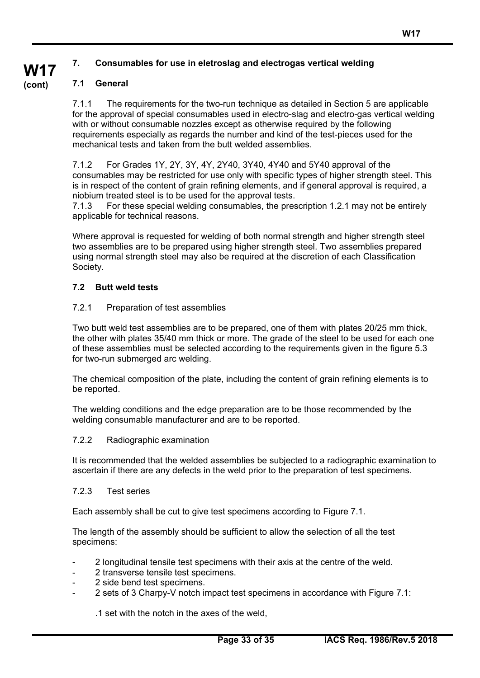#### **W17 7. Consumables for use in eletroslag and electrogas vertical welding**

## **7.1 General**

**(cont)**

7.1.1 The requirements for the two-run technique as detailed in Section 5 are applicable for the approval of special consumables used in electro-slag and electro-gas vertical welding with or without consumable nozzles except as otherwise required by the following requirements especially as regards the number and kind of the test-pieces used for the mechanical tests and taken from the butt welded assemblies.

7.1.2 For Grades 1Y, 2Y, 3Y, 4Y, 2Y40, 3Y40, 4Y40 and 5Y40 approval of the consumables may be restricted for use only with specific types of higher strength steel. This is in respect of the content of grain refining elements, and if general approval is required, a niobium treated steel is to be used for the approval tests.

7.1.3 For these special welding consumables, the prescription 1.2.1 may not be entirely applicable for technical reasons.

Where approval is requested for welding of both normal strength and higher strength steel two assemblies are to be prepared using higher strength steel. Two assemblies prepared using normal strength steel may also be required at the discretion of each Classification Society.

#### **7.2 Butt weld tests**

#### 7.2.1 Preparation of test assemblies

Two butt weld test assemblies are to be prepared, one of them with plates 20/25 mm thick, the other with plates 35/40 mm thick or more. The grade of the steel to be used for each one of these assemblies must be selected according to the requirements given in the figure 5.3 for two-run submerged arc welding.

The chemical composition of the plate, including the content of grain refining elements is to be reported.

The welding conditions and the edge preparation are to be those recommended by the welding consumable manufacturer and are to be reported.

#### 7.2.2 Radiographic examination

It is recommended that the welded assemblies be subjected to a radiographic examination to ascertain if there are any defects in the weld prior to the preparation of test specimens.

#### 7.2.3 Test series

 $\overline{a}$ 

Each assembly shall be cut to give test specimens according to Figure 7.1.

The length of the assembly should be sufficient to allow the selection of all the test specimens:

- 2 longitudinal tensile test specimens with their axis at the centre of the weld.
- 2 transverse tensile test specimens.
- 2 side bend test specimens.
- 2 sets of 3 Charpy-V notch impact test specimens in accordance with Figure 7.1:

.1 set with the notch in the axes of the weld,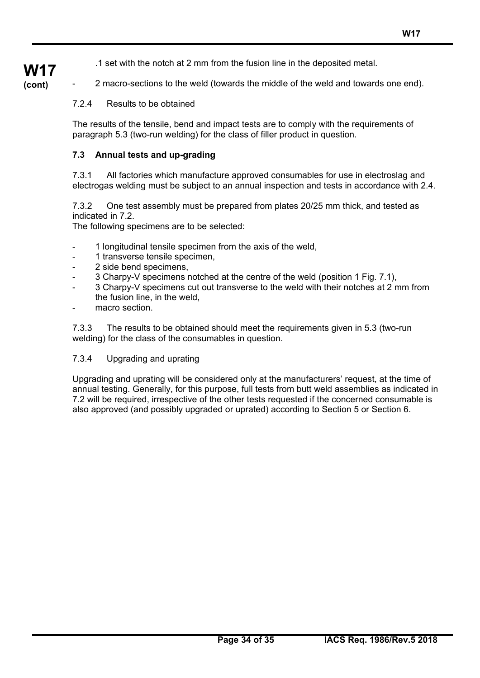.1 set with the notch at 2 mm from the fusion line in the deposited metal.

**W17 (cont)**

2 macro-sections to the weld (towards the middle of the weld and towards one end).

## 7.2.4 Results to be obtained

The results of the tensile, bend and impact tests are to comply with the requirements of paragraph 5.3 (two-run welding) for the class of filler product in question.

## **7.3 Annual tests and up-grading**

7.3.1 All factories which manufacture approved consumables for use in electroslag and electrogas welding must be subject to an annual inspection and tests in accordance with 2.4.

7.3.2 One test assembly must be prepared from plates 20/25 mm thick, and tested as indicated in 7.2.

The following specimens are to be selected:

- 1 longitudinal tensile specimen from the axis of the weld.
- 1 transverse tensile specimen.
- 2 side bend specimens,
- 3 Charpy-V specimens notched at the centre of the weld (position 1 Fig. 7.1),
- 3 Charpy-V specimens cut out transverse to the weld with their notches at 2 mm from the fusion line, in the weld,
- macro section.

 $\overline{a}$ 

7.3.3 The results to be obtained should meet the requirements given in 5.3 (two-run welding) for the class of the consumables in question.

#### 7.3.4 Upgrading and uprating

Upgrading and uprating will be considered only at the manufacturers' request, at the time of annual testing. Generally, for this purpose, full tests from butt weld assemblies as indicated in 7.2 will be required, irrespective of the other tests requested if the concerned consumable is also approved (and possibly upgraded or uprated) according to Section 5 or Section 6.